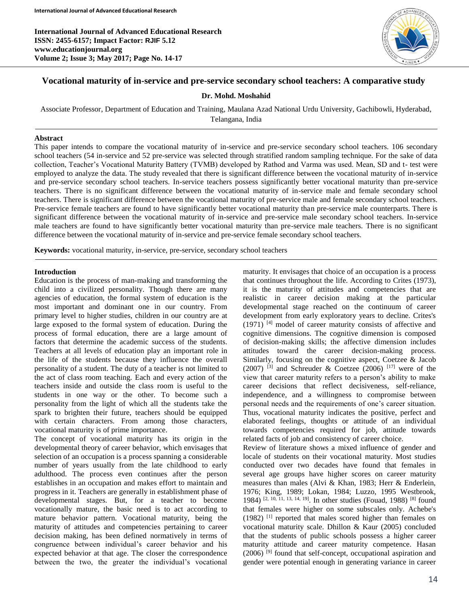**International Journal of Advanced Educational Research ISSN: 2455-6157; Impact Factor: RJIF 5.12 www.educationjournal.org Volume 2; Issue 3; May 2017; Page No. 14-17**



# **Vocational maturity of in-service and pre-service secondary school teachers: A comparative study**

#### **Dr. Mohd. Moshahid**

Associate Professor, Department of Education and Training, Maulana Azad National Urdu University, Gachibowli, Hyderabad,

Telangana, India

#### **Abstract**

This paper intends to compare the vocational maturity of in-service and pre-service secondary school teachers. 106 secondary school teachers (54 in-service and 52 pre-service was selected through stratified random sampling technique. For the sake of data collection, Teacher's Vocational Maturity Battery (TVMB) developed by Rathod and Varma was used. Mean, SD and t- test were employed to analyze the data. The study revealed that there is significant difference between the vocational maturity of in-service and pre-service secondary school teachers. In-service teachers possess significantly better vocational maturity than pre-service teachers. There is no significant difference between the vocational maturity of in-service male and female secondary school teachers. There is significant difference between the vocational maturity of pre-service male and female secondary school teachers. Pre-service female teachers are found to have significantly better vocational maturity than pre-service male counterparts. There is significant difference between the vocational maturity of in-service and pre-service male secondary school teachers. In-service male teachers are found to have significantly better vocational maturity than pre-service male teachers. There is no significant difference between the vocational maturity of in-service and pre-service female secondary school teachers.

**Keywords:** vocational maturity, in-service, pre-service, secondary school teachers

#### **Introduction**

Ī

Education is the process of man-making and transforming the child into a civilized personality. Though there are many agencies of education, the formal system of education is the most important and dominant one in our country. From primary level to higher studies, children in our country are at large exposed to the formal system of education. During the process of formal education, there are a large amount of factors that determine the academic success of the students. Teachers at all levels of education play an important role in the life of the students because they influence the overall personality of a student. The duty of a teacher is not limited to the act of class room teaching. Each and every action of the teachers inside and outside the class room is useful to the students in one way or the other. To become such a personality from the light of which all the students take the spark to brighten their future, teachers should be equipped with certain characters. From among those characters, vocational maturity is of prime importance.

The concept of vocational maturity has its origin in the developmental theory of career behavior, which envisages that selection of an occupation is a process spanning a considerable number of years usually from the late childhood to early adulthood. The process even continues after the person establishes in an occupation and makes effort to maintain and progress in it. Teachers are generally in establishment phase of developmental stages. But, for a teacher to become vocationally mature, the basic need is to act according to mature behavior pattern. Vocational maturity, being the maturity of attitudes and competencies pertaining to career decision making, has been defined normatively in terms of congruence between individual's career behavior and his expected behavior at that age. The closer the correspondence between the two, the greater the individual's vocational

maturity. It envisages that choice of an occupation is a process that continues throughout the life. According to Crites (1973), it is the maturity of attitudes and competencies that are realistic in career decision making at the particular developmental stage reached on the continuum of career development from early exploratory years to decline. Crites's  $(1971)$ <sup>[4]</sup> model of career maturity consists of affective and cognitive dimensions. The cognitive dimension is composed of decision-making skills; the affective dimension includes attitudes toward the career decision-making process. Similarly, focusing on the cognitive aspect, Coetzee & Jacob (2007) <sup>[3]</sup> and Schreuder & Coetzee (2006) <sup>[17]</sup> were of the view that career maturity refers to a person's ability to make career decisions that reflect decisiveness, self-reliance, independence, and a willingness to compromise between personal needs and the requirements of one's career situation. Thus, vocational maturity indicates the positive, perfect and elaborated feelings, thoughts or attitude of an individual towards competencies required for job, attitude towards related facts of job and consistency of career choice.

Review of literature shows a mixed influence of gender and locale of students on their vocational maturity. Most studies conducted over two decades have found that females in several age groups have higher scores on career maturity measures than males (Alvi & Khan, 1983; Herr & Enderlein, 1976; King, 1989; Lokan, 1984; Luzzo, 1995 Westbrook, 1984)<sup>[2, 10, 11, 13, 14, 19]</sup>. In other studies (Fouad, 1988)<sup>[8]</sup> found that females were higher on some subscales only. Achebe's (1982) [1] reported that males scored higher than females on vocational maturity scale. Dhillon & Kaur (2005) concluded that the students of public schools possess a higher career maturity attitude and career maturity competence. Hasan  $(2006)$  <sup>[9]</sup> found that self-concept, occupational aspiration and gender were potential enough in generating variance in career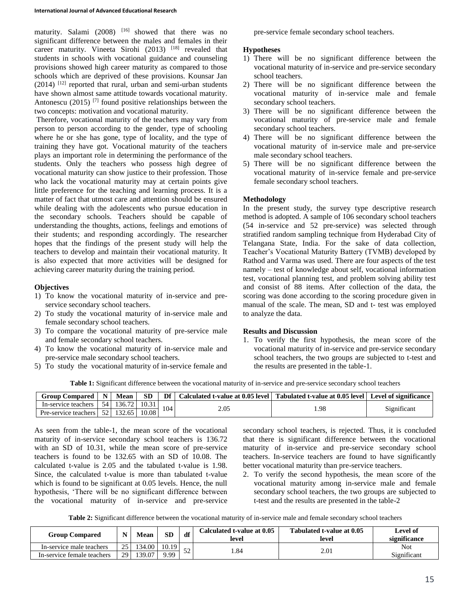maturity. Salami  $(2008)$  <sup>[16]</sup> showed that there was no significant difference between the males and females in their career maturity. Vineeta Sirohi  $(2013)$ <sup>[18]</sup> revealed that students in schools with vocational guidance and counseling provisions showed high career maturity as compared to those schools which are deprived of these provisions. Kounsar Jan  $(2014)$ <sup>[12]</sup> reported that rural, urban and semi-urban students have shown almost same attitude towards vocational maturity. Antonescu (2015)<sup>[7]</sup> found positive relationships between the two concepts: motivation and vocational maturity.

Therefore, vocational maturity of the teachers may vary from person to person according to the gender, type of schooling where he or she has gone, type of locality, and the type of training they have got. Vocational maturity of the teachers plays an important role in determining the performance of the students. Only the teachers who possess high degree of vocational maturity can show justice to their profession. Those who lack the vocational maturity may at certain points give little preference for the teaching and learning process. It is a matter of fact that utmost care and attention should be ensured while dealing with the adolescents who pursue education in the secondary schools. Teachers should be capable of understanding the thoughts, actions, feelings and emotions of their students; and responding accordingly. The researcher hopes that the findings of the present study will help the teachers to develop and maintain their vocational maturity. It is also expected that more activities will be designed for achieving career maturity during the training period.

#### **Objectives**

- 1) To know the vocational maturity of in-service and preservice secondary school teachers.
- 2) To study the vocational maturity of in-service male and female secondary school teachers.
- 3) To compare the vocational maturity of pre-service male and female secondary school teachers.
- 4) To know the vocational maturity of in-service male and pre-service male secondary school teachers.
- 5) To study the vocational maturity of in-service female and

pre-service female secondary school teachers.

#### **Hypotheses**

- 1) There will be no significant difference between the vocational maturity of in-service and pre-service secondary school teachers.
- 2) There will be no significant difference between the vocational maturity of in-service male and female secondary school teachers.
- 3) There will be no significant difference between the vocational maturity of pre-service male and female secondary school teachers.
- 4) There will be no significant difference between the vocational maturity of in-service male and pre-service male secondary school teachers.
- 5) There will be no significant difference between the vocational maturity of in-service female and pre-service female secondary school teachers.

## **Methodology**

In the present study, the survey type descriptive research method is adopted. A sample of 106 secondary school teachers (54 in-service and 52 pre-service) was selected through stratified random sampling technique from Hyderabad City of Telangana State, India. For the sake of data collection, Teacher's Vocational Maturity Battery (TVMB) developed by Rathod and Varma was used. There are four aspects of the test namely – test of knowledge about self, vocational information test, vocational planning test, and problem solving ability test and consist of 88 items. After collection of the data, the scoring was done according to the scoring procedure given in manual of the scale. The mean, SD and t- test was employed to analyze the data.

## **Results and Discussion**

1. To verify the first hypothesis, the mean score of the vocational maturity of in-service and pre-service secondary school teachers, the two groups are subjected to t-test and the results are presented in the table-1.

**Table 1:** Significant difference between the vocational maturity of in-service and pre-service secondary school teachers

| <b>Group Compared</b> | $\mathbf N$     | Mean   | <b>SD</b> | Df  | Calculated t-value at 0.05 level   Tabulated t-value at 0.05 level   Level of significance |      |             |
|-----------------------|-----------------|--------|-----------|-----|--------------------------------------------------------------------------------------------|------|-------------|
| In-service teachers   | -54 L           | 136.72 | 10.31     | 104 | 2.05                                                                                       |      | Significant |
| Pre-service teachers  | 52 <sub>1</sub> | 132.65 | 10.08     |     |                                                                                            | 1.98 |             |

As seen from the table-1, the mean score of the vocational maturity of in-service secondary school teachers is 136.72 with an SD of 10.31, while the mean score of pre-service teachers is found to be 132.65 with an SD of 10.08. The calculated t-value is 2.05 and the tabulated t-value is 1.98. Since, the calculated t-value is more than tabulated t-value which is found to be significant at 0.05 levels. Hence, the null hypothesis, 'There will be no significant difference between the vocational maturity of in-service and pre-service secondary school teachers, is rejected. Thus, it is concluded that there is significant difference between the vocational maturity of in-service and pre-service secondary school teachers. In-service teachers are found to have significantly better vocational maturity than pre-service teachers.

2. To verify the second hypothesis, the mean score of the vocational maturity among in-service male and female secondary school teachers, the two groups are subjected to t-test and the results are presented in the table-2

**Table 2:** Significant difference between the vocational maturity of in-service male and female secondary school teachers

| <b>Group Compared</b>      |      | Mean                | <b>SD</b> | df  | Calculated t-value at 0.05<br>level | Tabulated t-value at 0.05<br>level | Level of<br>significance |
|----------------------------|------|---------------------|-----------|-----|-------------------------------------|------------------------------------|--------------------------|
| In-service male teachers   | 25.  | 134.00 <sub>1</sub> | 10.19     | - م | . 84                                | 2.01                               | <b>Not</b>               |
| In-service temale teachers | 29 I | 139.07              | 9.99      |     |                                     |                                    | Significant              |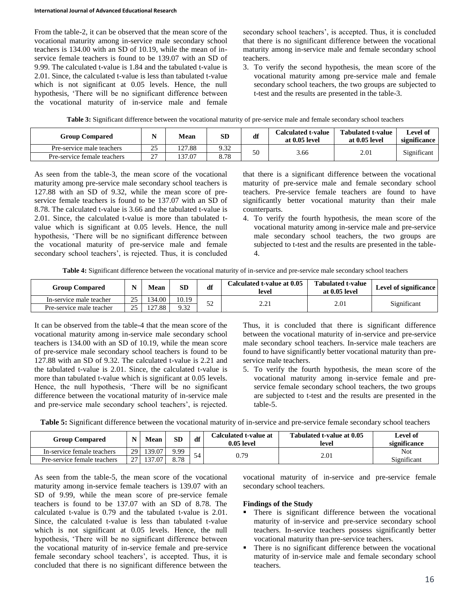From the table-2, it can be observed that the mean score of the vocational maturity among in-service male secondary school teachers is 134.00 with an SD of 10.19, while the mean of inservice female teachers is found to be 139.07 with an SD of 9.99. The calculated t-value is 1.84 and the tabulated t-value is 2.01. Since, the calculated t-value is less than tabulated t-value which is not significant at 0.05 levels. Hence, the null hypothesis, 'There will be no significant difference between the vocational maturity of in-service male and female

secondary school teachers', is accepted. Thus, it is concluded that there is no significant difference between the vocational maturity among in-service male and female secondary school teachers.

3. To verify the second hypothesis, the mean score of the vocational maturity among pre-service male and female secondary school teachers, the two groups are subjected to t-test and the results are presented in the table-3.

| <b>Group Compared</b>       |               | Mean   | SD   | df | Calculated t-value<br>at 0.05 level | <b>Tabulated t-value</b><br>at 0.05 level | Level of<br>significance |
|-----------------------------|---------------|--------|------|----|-------------------------------------|-------------------------------------------|--------------------------|
| Pre-service male teachers   | つち<br>ت       | 127.88 | 9.32 | 50 |                                     | 2.01                                      |                          |
| Pre-service female teachers | $\sim$<br>، ت | 137.07 | 8.78 |    | 3.66                                |                                           | Significant              |

**Table 3:** Significant difference between the vocational maturity of pre-service male and female secondary school teachers

As seen from the table-3, the mean score of the vocational maturity among pre-service male secondary school teachers is 127.88 with an SD of 9.32, while the mean score of preservice female teachers is found to be 137.07 with an SD of 8.78. The calculated t-value is 3.66 and the tabulated t-value is 2.01. Since, the calculated t-value is more than tabulated tvalue which is significant at 0.05 levels. Hence, the null hypothesis, 'There will be no significant difference between the vocational maturity of pre-service male and female secondary school teachers', is rejected. Thus, it is concluded

that there is a significant difference between the vocational maturity of pre-service male and female secondary school teachers. Pre-service female teachers are found to have significantly better vocational maturity than their male counterparts.

4. To verify the fourth hypothesis, the mean score of the vocational maturity among in-service male and pre-service male secondary school teachers, the two groups are subjected to t-test and the results are presented in the table-4.

**Table 4:** Significant difference between the vocational maturity of in-service and pre-service male secondary school teachers

| <b>Group Compared</b>    |          | Mean   | SD<br>df |            | Calculated t-value at 0.05<br>level | <b>Tabulated t-value</b><br>at 0.05 level | Level of significance |
|--------------------------|----------|--------|----------|------------|-------------------------------------|-------------------------------------------|-----------------------|
| In-service male teacher  | $\gamma$ | 34.00  | 10.19    | $\epsilon$ | າາ<br><u>، ، ، ، ، </u>             | 2.01                                      | Significant           |
| Pre-service male teacher | $\sim$   | 127.88 | 9.32     | ے ر        |                                     |                                           |                       |

It can be observed from the table-4 that the mean score of the vocational maturity among in-service male secondary school teachers is 134.00 with an SD of 10.19, while the mean score of pre-service male secondary school teachers is found to be 127.88 with an SD of 9.32. The calculated t-value is 2.21 and the tabulated t-value is 2.01. Since, the calculated t-value is more than tabulated t-value which is significant at 0.05 levels. Hence, the null hypothesis, 'There will be no significant difference between the vocational maturity of in-service male and pre-service male secondary school teachers', is rejected.

Thus, it is concluded that there is significant difference between the vocational maturity of in-service and pre-service male secondary school teachers. In-service male teachers are found to have significantly better vocational maturity than preservice male teachers.

5. To verify the fourth hypothesis, the mean score of the vocational maturity among in-service female and preservice female secondary school teachers, the two groups are subjected to t-test and the results are presented in the table-5.

**Table 5:** Significant difference between the vocational maturity of in-service and pre-service female secondary school teachers

| <b>Group Compared</b>       | N           | Mean   | <b>SD</b> | df | Calculated t-value at<br>$0.05$ level | Tabulated t-value at 0.05<br>level | Level of<br>significance |
|-----------------------------|-------------|--------|-----------|----|---------------------------------------|------------------------------------|--------------------------|
| In-service female teachers  | 29 I        | 139.07 | 9.99      | 54 | 0.79                                  | 2.01                               | <b>Not</b>               |
| Pre-service female teachers | $\sim$<br>- | 137.07 | 8.78      |    |                                       |                                    | Significant              |

As seen from the table-5, the mean score of the vocational maturity among in-service female teachers is 139.07 with an SD of 9.99, while the mean score of pre-service female teachers is found to be 137.07 with an SD of 8.78. The calculated t-value is 0.79 and the tabulated t-value is 2.01. Since, the calculated t-value is less than tabulated t-value which is not significant at 0.05 levels. Hence, the null hypothesis, 'There will be no significant difference between the vocational maturity of in-service female and pre-service female secondary school teachers', is accepted. Thus, it is concluded that there is no significant difference between the

vocational maturity of in-service and pre-service female secondary school teachers.

#### **Findings of the Study**

- There is significant difference between the vocational maturity of in-service and pre-service secondary school teachers. In-service teachers possess significantly better vocational maturity than pre-service teachers.
- There is no significant difference between the vocational maturity of in-service male and female secondary school teachers.